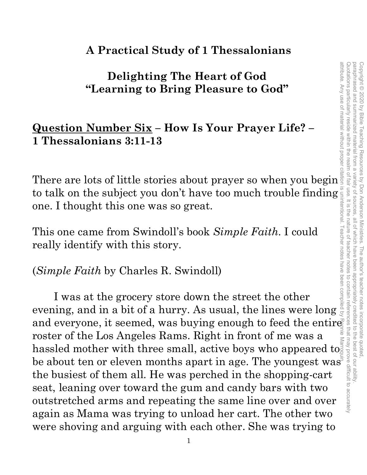## **A Practical Study of 1 Thessalonians**

## **Delighting The Heart of God "Learning to Bring Pleasure to God"**

## **Question Number Six – How Is Your Prayer Life? – 1 Thessalonians 3:11-13**

There are lots of little stories about prayer so when you begin to talk on the subject you don't have too much trouble finding<br>
one. I thought this one was so great.<br>
This one came from Swindoll's book *Simple Faith*. I could<br>
really identify with this story.<br>
(*Simple Faith* by Charl one. I thought this one was so great.

This one came from Swindoll's book *Simple Faith*. I could really identify with this story.

### (*Simple Faith* by Charles R. Swindoll)

I was at the grocery store down the street the other evening, and in a bit of a hurry. As usual, the lines were long There are lots of little stories about prayer so when you begins<br>to talk on the subject you don't have too much trouble finding<br>one. I thought this one was so great.<br>This one came from Swindoll's book *Simple Faith*. I co roster of the Los Angeles Rams. Right in front of me was a roster of the Los Angeles Kams. Kight in front of the was a hassled mother with three small, active boys who appeared to be about ten or eleven months apart in age. The youngest was the busiest of them all. He was perched in the shopping-cart seat, leaning over toward the gum and candy bars with two outstretched arms and repeating the same line over and over again as Mama was trying to unload her cart. The other two were shoving and arguing with each other. She was trying to attribute. Any use of material without proper citation is unintentional. Teacher notes have been compiled by Ronnie Marroquin.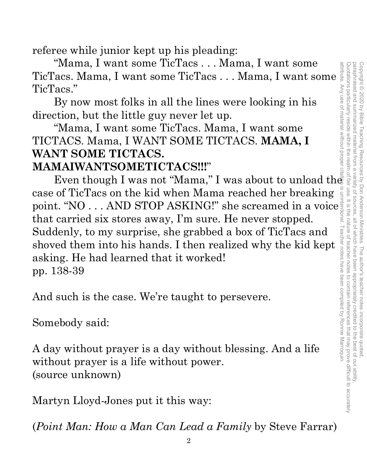referee while junior kept up his pleading:

 "Mama, I want some TicTacs . . . Mama, I want some TicTacs. Mama, I want some TicTacs . . . Mama, I want some TicTacs."

By now most folks in all the lines were looking in his direction, but the little guy never let up.

 "Mama, I want some TicTacs. Mama, I want some TICTACS. Mama, I WANT SOME TICTACS. **MAMA, I WANT SOME TICTACS.** 

## **MAMAIWANTSOMETICTACS!!!**"

Even though I was not "Mama," I was about to unload the case of TicTacs on the kid when Mama reached her breaking point. "NO . . . AND STOP ASKING!" she screamed in a voice that carried six stores away, I'm sure. He never stopped. Suddenly, to my surprise, she grabbed a box of TicTacs and shoved them into his hands. I then realized why the kid kept asking. He had learned that it worked! pp. 138-39

And such is the case. We're taught to persevere.

Somebody said:

A day without prayer is a day without blessing. And a life without prayer is a life without power. (source unknown)

Martyn Lloyd-Jones put it this way:

(*Point Man: How a Man Can Lead a Family* by Steve Farrar)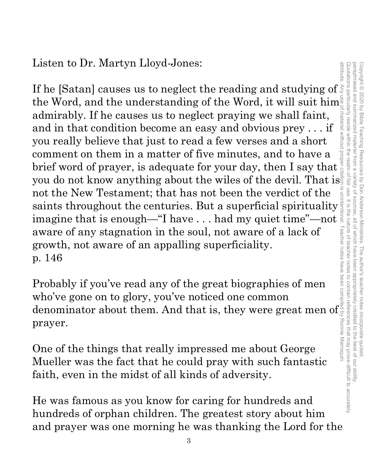Listen to Dr. Martyn Lloyd-Jones:

attribute. Any use of material without proper citation is unintentional. Teacher notes have been compiled by Ronnie Marroquin.If he [Satan] causes us to neglect the reading and studying of the Word, and the understanding of the Word, it will suit him<sup>5</sup> admirably. If he causes us to neglect praying we shall faint, material without and in that condition become an easy and obvious prey . . . if you really believe that just to read a few verses and a short comment on them in a matter of five minutes, and to have a brief word of prayer, is adequate for your day, then I say that you do not know anything about the wiles of the devil. That is not the New Testament; that has not been the verdict of the not the intervale restainent; that has not been the vertict of the saints throughout the centuries. But a superficial spirituality is<br>imagine that is enough—"I have ... had my quiet time"—not imagine that is enough—"I have . . . had my quiet time"—not aware of any stagnation in the soul, not aware of a lack of growth, not aware of an appalling superficiality. p. 146

Probably if you've read any of the great biographies of men who've gone on to glory, you've noticed one common denominator about them. And that is, they were great men of prayer.

One of the things that really impressed me about George Mueller was the fact that he could pray with such fantastic faith, even in the midst of all kinds of adversity.

He was famous as you know for caring for hundreds and hundreds of orphan children. The greatest story about him and prayer was one morning he was thanking the Lord for the

attribute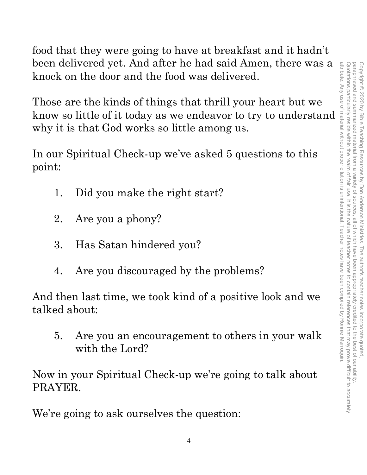attribute. Any use of material without proper citation is unintentional. Teacher notes have been compiled by Ronnie Marroquin. Quotations particularly reside within the realm of fair use. It is the nature of teacher notes to contain references that may prove difficult to accurately paraphrased and summarized material from a attribute. Any use of material without proper citation is unintentional. Teacher notes have been compiled by Ronnie Marroquin.Quotations particularly reside within the realm of fair use. It is the nature of teacher notes to contain references that may prove difficult to accurately paraphrased and summarized material from a variety of sources, all of which have been appropriately credited to the best of our ability. Copyright © 2020 by Bible Teaching Resources by Don Anderson Ministries. The author's teacher notes incorporate quoted Copyright © 2020 by Bible Teaching Resources by Don Anderson Ministries. The author's teacher notes incorporate quoted, variety of sources all of which have been appropriately credited to the best of our ability

food that they were going to have at breakfast and it hadn't been delivered yet. And after he had said Amen, there was a knock on the door and the food was delivered.

Those are the kinds of things that thrill your heart but we know so little of it today as we endeavor to try to understand why it is that God works so little among us.

In our Spiritual Check-up we've asked 5 questions to this point:

- 1. Did you make the right start?
- 2. Are you a phony?
- 3. Has Satan hindered you?
- 4. Are you discouraged by the problems?

And then last time, we took kind of a positive look and we talked about:

5. Are you an encouragement to others in your walk with the Lord?

Now in your Spiritual Check-up we're going to talk about PRAYER.

We're going to ask ourselves the question: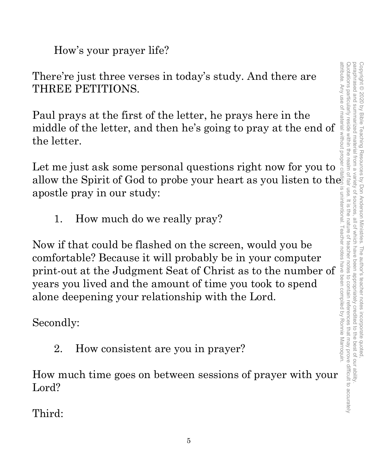How's your prayer life?

There're just three verses in today's study. And there are THREE PETITIONS.

Paul prays at the first of the letter, he prays here in the middle of the letter, and then he's going to pray at the end of the letter.

Let me just ask some personal questions right now for you to allow the Spirit of God to probe your heart as you listen to the apostle pray in our study:

1. How much do we really pray?

Now if that could be flashed on the screen, would you be comfortable? Because it will probably be in your computer print-out at the Judgment Seat of Christ as to the number of years you lived and the amount of time you took to spend alone deepening your relationship with the Lord.

Secondly:

2. How consistent are you in prayer?

How much time goes on between sessions of prayer with your Lord?

Third: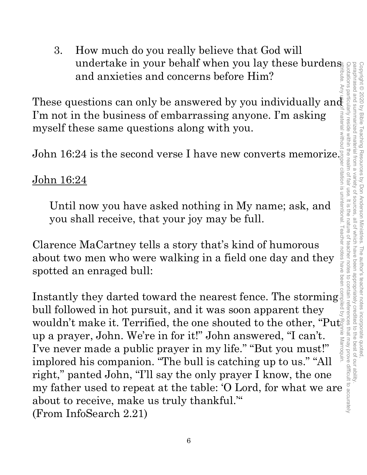3. How much do you really believe that God will undertake in your behalf when you lay these burdens and anxieties and concerns before Him?

These questions can only be answered by you individually and I'm not in the business of embarrassing anyone. I'm asking myself these same questions along with you.

John 16:24 is the second verse I have new converts memorize.

### John 16:24

Until now you have asked nothing in My name; ask, and you shall receive, that your joy may be full.

Clarence MaCartney tells a story that's kind of humorous about two men who were walking in a field one day and they spotted an enraged bull:

Instantly they darted toward the nearest fence. The storming bull followed in hot pursuit, and it was soon apparent they wouldn't make it. Terrified, the one shouted to the other, "Put up a prayer, John. We're in for it!" John answered, "I can't. I've never made a public prayer in my life." "But you must!" implored his companion. "The bull is catching up to us." "All right," panted John, "I'll say the only prayer I know, the one my father used to repeat at the table: 'O Lord, for what we are about to receive, make us truly thankful.'" (From InfoSearch 2.21) attribute. Any use of material without proper citation is unintentional. Teacher notes have been compiled by Ronnie Marroquin.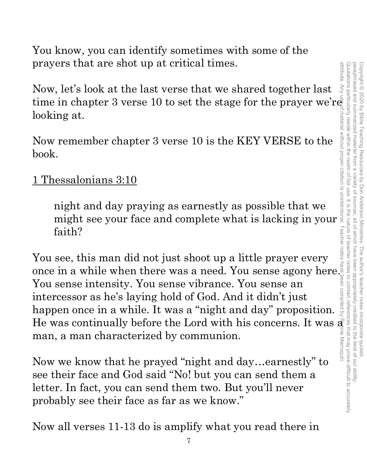You know, you can identify sometimes with some of the prayers that are shot up at critical times.

Now, let's look at the last verse that we shared together last time in chapter 3 verse 10 to set the stage for the prayer we're looking at.

Now remember chapter 3 verse 10 is the KEY VERSE to the book.

## 1 Thessalonians 3:10

night and day praying as earnestly as possible that we might see your face and complete what is lacking in your faith?

You see, this man did not just shoot up a little prayer every once in a while when there was a need. You sense agony here. You sense intensity. You sense vibrance. You sense an intercessor as he's laying hold of God. And it didn't just happen once in a while. It was a "night and day" proposition. He was continually before the Lord with his concerns. It was  $\vec{\mathbf{a}}$ man, a man characterized by communion.

Now we know that he prayed "night and day…earnestly" to see their face and God said "No! but you can send them a letter. In fact, you can send them two. But you'll never probably see their face as far as we know."

Now all verses 11-13 do is amplify what you read there in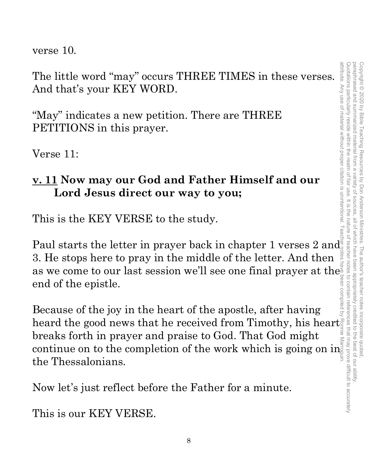verse 10.

The little word "may" occurs THREE TIMES in these verses. And that's your KEY WORD.

"May" indicates a new petition. There are THREE PETITIONS in this prayer.

Verse 11:

## **v. 11 Now may our God and Father Himself and our Lord Jesus direct our way to you;**

This is the KEY VERSE to the study.

Paul starts the letter in prayer back in chapter 1 verses  $2$  and  $\frac{1}{2}$ 3. He stops here to pray in the middle of the letter. And then as we come to our last session we'll see one final prayer at the end of the epistle. attribute. Any use of material without proper citation is unintentional. Teacher notes have been compiled by Ronnie Marroquin.

Because of the joy in the heart of the apostle, after having heard the good news that he received from Timothy, his heart breaks forth in prayer and praise to God. That God might breaks forth in prayer and praise to God. That God might<br>continue on to the completion of the work which is going on in<br>the Thessalonians the Thessalonians.

Now let's just reflect before the Father for a minute.

This is our KEY VERSE.

attribute. Any use of material without proper citation is unintentional.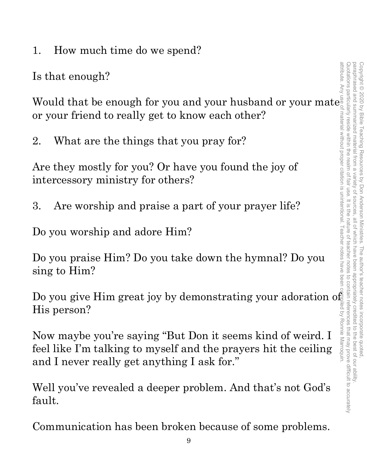1. How much time do we spend?

Is that enough?

Would that be enough for you and your husband or your mate  $_e^{\bar{e}}$ or your friend to really get to know each other?

2. What are the things that you pray for?

Are they mostly for you? Or have you found the joy of intercessory ministry for others?

3. Are worship and praise a part of your prayer life?

Do you worship and adore Him?

Do you praise Him? Do you take down the hymnal? Do you sing to Him?

Do you give Him great joy by demonstrating your adoration of His person?

Now maybe you're saying "But Don it seems kind of weird. I feel like I'm talking to myself and the prayers hit the ceiling and I never really get anything I ask for."

Well you've revealed a deeper problem. And that's not God's fault.

Communication has been broken because of some problems.

paraphrased and summarized material from a

variety of

sources

Copyright<sup>©</sup>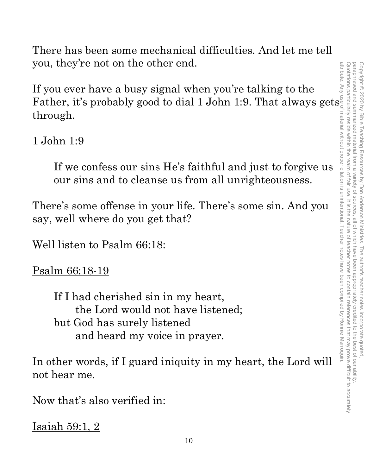There has been some mechanical difficulties. And let me tell you, they're not on the other end.

If you ever have a busy signal when you're talking to the Father, it's probably good to dial 1 John 1:9. That always gets through.

## <u>1 John 1:9</u>

If we confess our sins He's faithful and just to forgive us our sins and to cleanse us from all unrighteousness.

There's some offense in your life. There's some sin. And you say, well where do you get that?

Well listen to Psalm 66:18:

Psalm 66:18-19

If I had cherished sin in my heart, the Lord would not have listened; but God has surely listened and heard my voice in prayer.

In other words, if I guard iniquity in my heart, the Lord will not hear me.

Now that's also verified in:

Isaiah 59:1, 2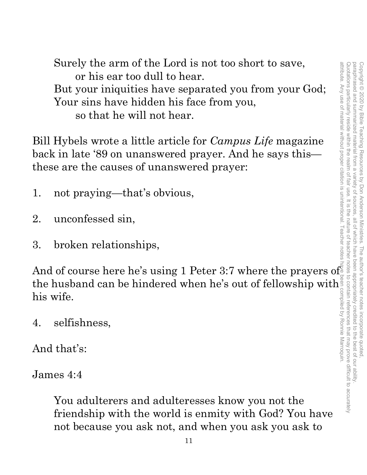Surely the arm of the Lord is not too short to save, or his ear too dull to hear. But your iniquities have separated you from your God; Your sins have hidden his face from you, so that he will not hear.

Bill Hybels wrote a little article for *Campus Life* magazine back in late '89 on unanswered prayer. And he says this these are the causes of unanswered prayer:

- 1. not praying—that's obvious,
- 2. unconfessed sin,
- 3. broken relationships,

And of course here he's using 1 Peter 3:7 where the prayers of the husband can be hindered when he's out of fellowship with his wife.

4. selfishness,

And that's:

James 4:4

You adulterers and adulteresses know you not the friendship with the world is enmity with God? You have not because you ask not, and when you ask you ask to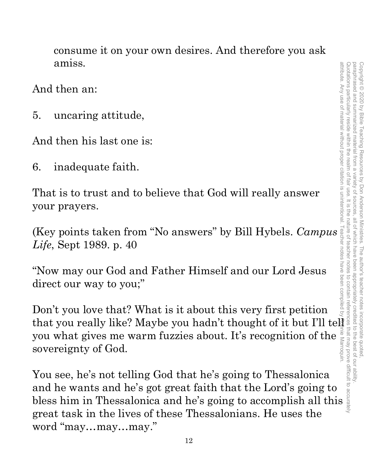consume it on your own desires. And therefore you ask amiss.

And then an:

5. uncaring attitude,

And then his last one is:

6. inadequate faith.

That is to trust and to believe that God will really answer your prayers.

(Key points taken from "No answers" by Bill Hybels. *Campus Life*, Sept 1989. p. 40

"Now may our God and Father Himself and our Lord Jesus direct our way to you;"

Don't you love that? What is it about this very first petition that you really like? Maybe you hadn't thought of it but I'll tel you what gives me warm fuzzies about. It's recognition of the sovereignty of God.

You see, he's not telling God that he's going to Thessalonica and he wants and he's got great faith that the Lord's going to bless him in Thessalonica and he's going to accomplish all this great task in the lives of these Thessalonians. He uses the word "may…may…may."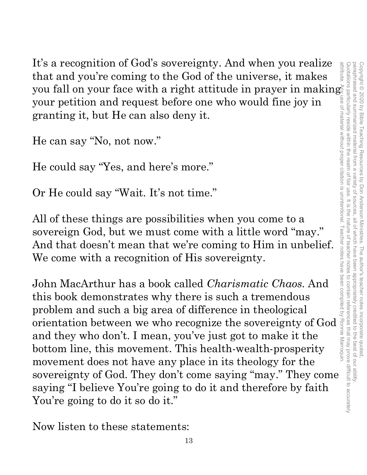It's a recognition of God's sovereignty. And when you realize that and you're coming to the God of the universe, it makes you fall on your face with a right attitude in prayer in making $\grave{\varepsilon}$ your petition and request before one who would fine joy in granting it, but He can also deny it.

He can say "No, not now."

He could say "Yes, and here's more."

Or He could say "Wait. It's not time."

All of these things are possibilities when you come to a sovereign God, but we must come with a little word "may." And that doesn't mean that we're coming to Him in unbelief. We come with a recognition of His sovereignty.

John MacArthur has a book called *Charismatic Chaos*. And this book demonstrates why there is such a tremendous problem and such a big area of difference in theological orientation between we who recognize the sovereignty of God and they who don't. I mean, you've just got to make it the bottom line, this movement. This health-wealth-prosperity movement does not have any place in its theology for the sovereignty of God. They don't come saying "may." They come saying "I believe You're going to do it and therefore by faith You're going to do it so do it."

Now listen to these statements: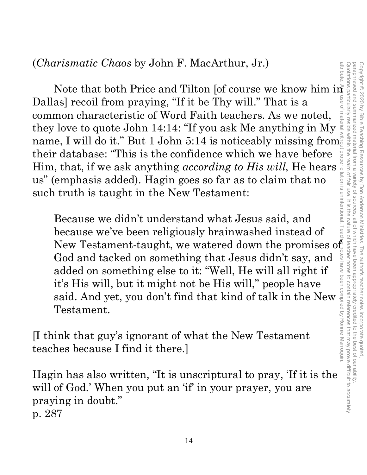Trismatic Chaos by John F. MacArthur, Jr.)<br>
Note that both Price and Tilton [of course we know him in as]<br>
recoil from praying. "If it be Thy will." That is a<br>
mono characteristic of Word Paith teachers. As we noted,<br>
low Dallas] recoil from praying, "If it be Thy will." That is a common characteristic of Word Faith teachers. As we noted, they love to quote John 14:14: "If you ask Me anything in My name, I will do it." But 1 John 5:14 is noticeably missing from their database: "This is the confidence which we have before Him, that, if we ask anything *according to His will*, He hears us" (emphasis added). Hagin goes so far as to claim that no such truth is taught in the New Testament:

Because we didn't understand what Jesus said, and because we've been religiously brainwashed instead of New Testament-taught, we watered down the promises of God and tacked on something that Jesus didn't say, and added on something else to it: "Well, He will all right if it's His will, but it might not be His will," people have said. And yet, you don't find that kind of talk in the New Testament.

[I think that guy's ignorant of what the New Testament teaches because I find it there.]

Hagin has also written, "It is unscriptural to pray, 'If it is the will of God.' When you put an 'if' in your prayer, you are praying in doubt." p. 287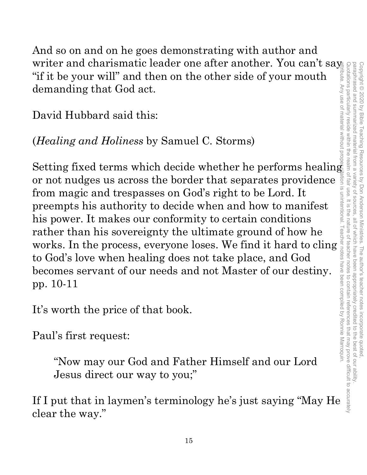And so on and on he goes demonstrating with author and writer and charismatic leader one after another. You can't say "if it be your will" and then on the other side of your mouth demanding that God act.

David Hubbard said this:

(*Healing and Holiness* by Samuel C. Storms)

Setting fixed terms which decide whether he performs healing or not nudges us across the border that separates providence from magic and trespasses on God's right to be Lord. It preempts his authority to decide when and how to manifest his power. It makes our conformity to certain conditions rather than his sovereignty the ultimate ground of how he works. In the process, everyone loses. We find it hard to cling to God's love when healing does not take place, and God becomes servant of our needs and not Master of our destiny. pp. 10-11

It's worth the price of that book.

Paul's first request:

"Now may our God and Father Himself and our Lord Jesus direct our way to you;"

If I put that in laymen's terminology he's just saying "May He clear the way."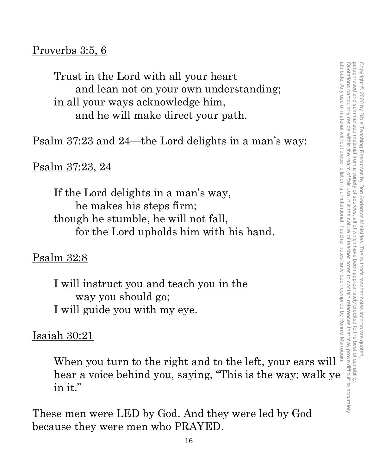### Proverbs 3:5, 6

Trust in the Lord with all your heart and lean not on your own understanding; in all your ways acknowledge him, and he will make direct your path. Trust in the Lord with all your heart<br>
and lean not on your own understanding;<br>
in all your ways acknowledge him,<br>
and he will make direct your path.<br>
m 37:23 and 24—the Lord delights in a man's way:<br>  $\frac{37:23}{\frac{3}{2}}$  a

Psalm 37:23 and 24—the Lord delights in a man's way:

### Psalm 37:23, 24

If the Lord delights in a man's way, he makes his steps firm; though he stumble, he will not fall, for the Lord upholds him with his hand.

#### Psalm 32:8

I will instruct you and teach you in the way you should go; I will guide you with my eye.

### Isaiah 30:21

hear a voice behind you, saying, "This is the way; walk ye in it."

These men were LED by God. And they were led by God because they were men who PRAYED.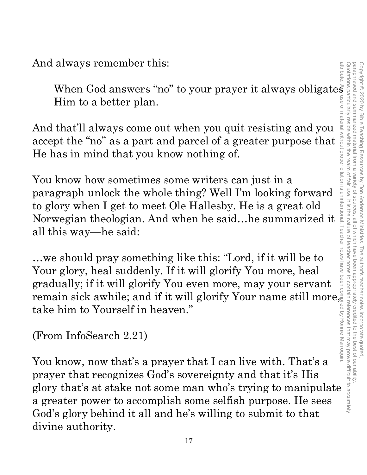And always remember this:<br>When God answers "no" to your prayer it always obligates When God answers "no" to your prayer it always obligates  $\overline{\phantom{a}}$ Him to a better plan.

And that'll always come out when you quit resisting and you accept the "no" as a part and parcel of a greater purpose that He has in mind that you know nothing of.

You know how sometimes some writers can just in a paragraph unlock the whole thing? Well I'm looking forward to glory when I get to meet Ole Hallesby. He is a great old Norwegian theologian. And when he said…he summarized it all this way—he said:

…we should pray something like this: "Lord, if it will be to Your glory, heal suddenly. If it will glorify You more, heal gradually; if it will glorify You even more, may your servant remain sick awhile; and if it will glorify Your name still more, take him to Yourself in heaven."

(From InfoSearch 2.21)

You know, now that's a prayer that I can live with. That's a prayer that recognizes God's sovereignty and that it's His glory that's at stake not some man who's trying to manipulate a greater power to accomplish some selfish purpose. He sees God's glory behind it all and he's willing to submit to that divine authority.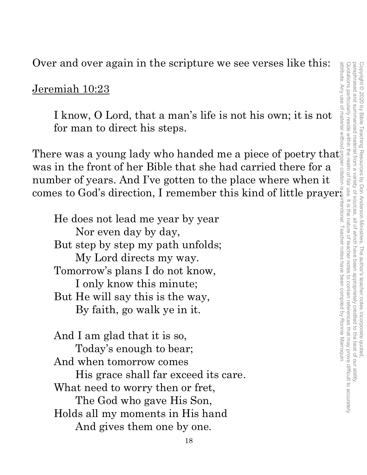Over and over again in the scripture we see verses like this:

#### Jeremiah 10:23

I know, O Lord, that a man's life is not his own; it is not for man to direct his steps.

There was a young lady who handed me a piece of poetry that was in the front of her Bible that she had carried there for a number of years. And I've gotten to the place where when it comes to God's direction, I remember this kind of little prayer:

He does not lead me year by year Nor even day by day, But step by step my path unfolds; My Lord directs my way. Tomorrow's plans I do not know, I only know this minute; But He will say this is the way, By faith, go walk ye in it.

And I am glad that it is so, Today's enough to bear; And when tomorrow comes His grace shall far exceed its care. What need to worry then or fret, The God who gave His Son, Holds all my moments in His hand And gives them one by one.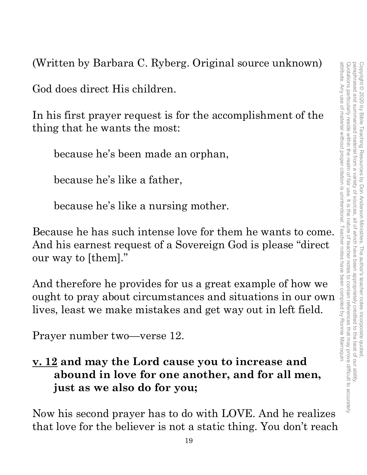(Written by Barbara C. Ryberg. Original source unknown)

God does direct His children.

In his first prayer request is for the accomplishment of the thing that he wants the most:

because he's been made an orphan,

because he's like a father,

because he's like a nursing mother.

Because he has such intense love for them he wants to come. And his earnest request of a Sovereign God is please "direct our way to [them]."

And therefore he provides for us a great example of how we ought to pray about circumstances and situations in our own lives, least we make mistakes and get way out in left field.

Prayer number two—verse 12.

**v. 12 and may the Lord cause you to increase and abound in love for one another, and for all men, just as we also do for you;**

Now his second prayer has to do with LOVE. And he realizes that love for the believer is not a static thing. You don't reach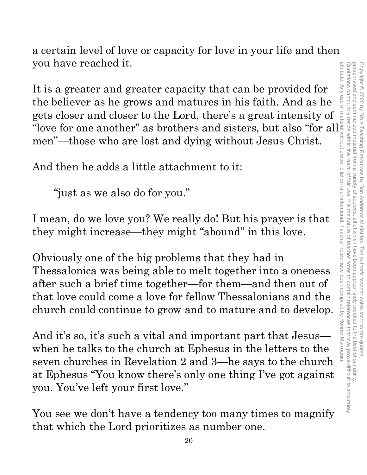Quotations particularly reside within the realm of fair use. It is the nature of teacher notes to contain references that may prove difficult to accurately paraphrased and summarized material from a attribute. Any use of material without proper citation is unintentional. Teacher notes have been compiled by Ronnie Marroquin.Quotations particularly reside within the realm of fair use. It is the nature of teacher notes to contain references that may prove difficult to accurately paraphrased and summarized material from a variety of sources, all of which have been appropriately credited to the best of our ability. Copyright © 2020 by Bible Teaching Resources Copyright © 2020 by Bible Teaching Resources by Don Anderson Ministries. The author's teacher notes incorporate quoted, variety of by Don Anderson Ministries. The author's teacher notes incorporate quoted all of which have been appropriately credited to the best of our ability

a certain level of love or capacity for love in your life and then you have reached it.

It is a greater and greater capacity that can be provided for the believer as he grows and matures in his faith. And as he gets closer and closer to the Lord, there's a great intensity of "love for one another" as brothers and sisters, but also "for all $\frac{1}{2}$ men"—those who are lost and dying without Jesus Christ.

And then he adds a little attachment to it:

"just as we also do for you."

I mean, do we love you? We really do! But his prayer is that they might increase—they might "abound" in this love.

Obviously one of the big problems that they had in Thessalonica was being able to melt together into a oneness after such a brief time together—for them—and then out of that love could come a love for fellow Thessalonians and the church could continue to grow and to mature and to develop.

And it's so, it's such a vital and important part that Jesus when he talks to the church at Ephesus in the letters to the seven churches in Revelation 2 and 3—he says to the church at Ephesus "You know there's only one thing I've got against you. You've left your first love."

You see we don't have a tendency too many times to magnify that which the Lord prioritizes as number one.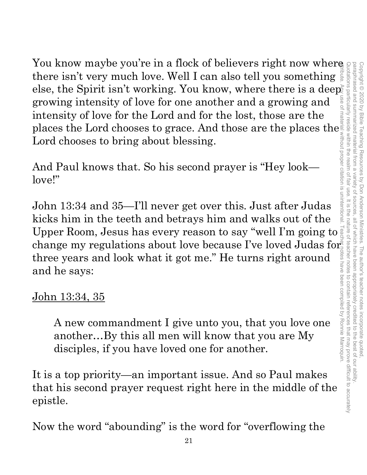You know maybe you're in a flock of believers right now where there isn't very much love. Well I can also tell you something else, the Spirit isn't working. You know, where there is a deep growing intensity of love for one another and a growing and intensity of love for the Lord and for the lost, those are the places the Lord chooses to grace. And those are the places the Lord chooses to bring about blessing.

And Paul knows that. So his second prayer is "Hey look love!"

John 13:34 and 35—I'll never get over this. Just after Judas kicks him in the teeth and betrays him and walks out of the Upper Room, Jesus has every reason to say "well I'm going to change my regulations about love because I've loved Judas for three years and look what it got me." He turns right around and he says:

## John 13:34, 35

A new commandment I give unto you, that you love one another…By this all men will know that you are My disciples, if you have loved one for another.

It is a top priority—an important issue. And so Paul makes that his second prayer request right here in the middle of the epistle.

Now the word "abounding" is the word for "overflowing the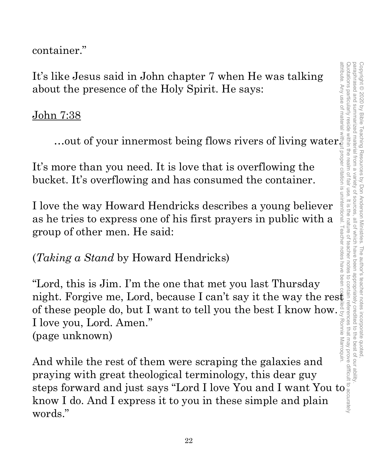container."

It's like Jesus said in John chapter 7 when He was talking about the presence of the Holy Spirit. He says:

#### John 7:38

…out of your innermost being flows rivers of living water.

It's more than you need. It is love that is overflowing the bucket. It's overflowing and has consumed the container.

I love the way Howard Hendricks describes a young believer as he tries to express one of his first prayers in public with a group of other men. He said:

(*Taking a Stand* by Howard Hendricks)

"Lord, this is Jim. I'm the one that met you last Thursday night. Forgive me, Lord, because I can't say it the way the rest of these people do, but I want to tell you the best I know how. I love you, Lord. Amen." (page unknown) It's like Josus said in John chapter 7 when He was talking<br>
about the presence of the Holy Spirit. He says:<br>
John 7:38<br>
...out of your innermost being flows rivers of living water<br>
It's more than you need. It is love that

And while the rest of them were scraping the galaxies and praying with great theological terminology, this dear guy know I do. And I express it to you in these simple and plain words."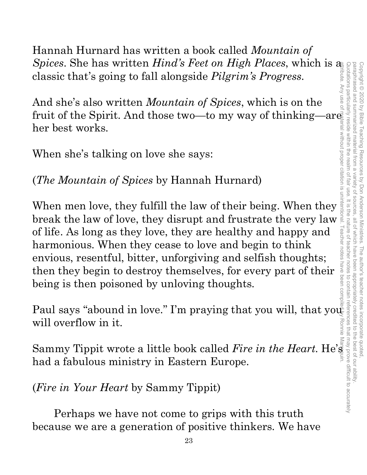Hannah Hurnard has written a book called *Mountain of Spices*. She has written *Hind's Feet on High Places*, which is a classic that's going to fall alongside *Pilgrim's Progress*.

And she's also written *Mountain of Spices*, which is on the fruit of the Spirit. And those two—to my way of thinking—are her best works.

When she's talking on love she says:

# (*The Mountain of Spices* by Hannah Hurnard)

When men love, they fulfill the law of their being. When they break the law of love, they disrupt and frustrate the very law of life. As long as they love, they are healthy and happy and harmonious. When they cease to love and begin to think envious, resentful, bitter, unforgiving and selfish thoughts; then they begin to destroy themselves, for every part of their being is then poisoned by unloving thoughts. When men love, they fulfill the law of their being. When they break the law of love, they disrupt and frustrate the very law of life. As long as they love, they are healthy and happy and harmonious. When they cease to love

Paul says "abound in love." I'm praying that you will, that you will overflow in it. Ronnie

had a fabulous ministry in Eastern Europe.

(*Fire in Your Heart* by Sammy Tippit)

Perhaps we have not come to grips with this truth because we are a generation of positive thinkers. We have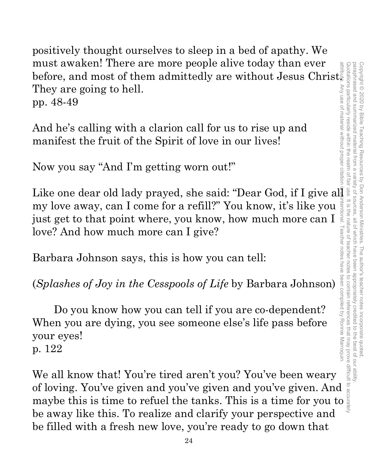positively thought ourselves to sleep in a bed of apathy. We must awaken! There are more people alive today than ever must awaken! There are more people alive today than ever before, and most of them admittedly are without Jesus Christ. Any use of material without proper citation They are going to hell. pp. 48-49

And he's calling with a clarion call for us to rise up and manifest the fruit of the Spirit of love in our lives!

Now you say "And I'm getting worn out!"

must awaken: Increase more people all to the said: "Defore, and most of them admittedly are without Jesus Christing<br>They are going to hell.<br>
pp. 48-49<br>
And he's calling with a clarion call for us to rise up and<br>
manifest t my love away, can I come for a refill?" You know, it's like you  $\frac{1}{2}$  just get to that point where, you know, how much more can I love? And how much more can I give? attribute. Any use of material without proper citation is unintentional. Teacher notes have been compiled by Ronnie Marroquin.

Barbara Johnson says, this is how you can tell:

(*Splashes of Joy in the Cesspools of Life* by Barbara Johnson)

just get to that point where, you know, how much more can I  $\frac{3}{2}$ <br>love? And how much more can I give?<br>Barbara Johnson says, this is how you can tell:<br>(*Splashes of Joy in the Cesspools of Life* by Barbara Johnson)<br>Do Do you know how you can tell if you are co-dependent? When you are dying, you see someone else's life pass before your eyes!

p. 122

We all know that! You're tired aren't you? You've been weary of loving. You've given and you've given and you've given. And maybe this is time to refuel the tanks. This is a time for you to be away like this. To realize and clarify your perspective and be filled with a fresh new love, you're ready to go down that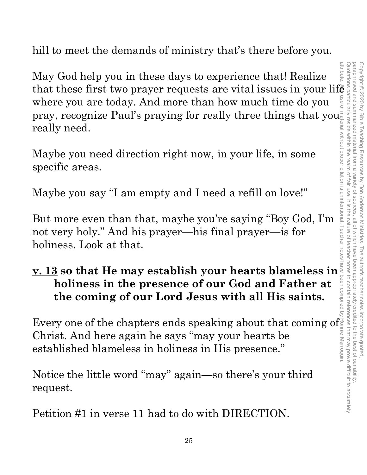hill to meet the demands of ministry that's there before you.

May God help you in these days to experience that! Realize May God help you in these days to experience that! Realize that these first two prayer requests are vital issues in your life where you are today. And more than how much time do you  $\frac{1}{8}$  pray, recognize Paul's prayin where you are today. And more than how much time do you pray, recognize Paul's praying for really three things that you really need.

Maybe you need direction right now, in your life, in some specific areas.

Maybe you say "I am empty and I need a refill on love!"

But more even than that, maybe you're saying "Boy God, I'm not very holy." And his prayer—his final prayer—is for holiness. Look at that.

# **v. 13 so that He may establish your hearts blameless in holiness in the presence of our God and Father at the coming of our Lord Jesus with all His saints.**

Every one of the chapters ends speaking about that coming of Christ. And here again he says "may your hearts be established blameless in holiness in His presence."

Notice the little word "may" again—so there's your third request.

Petition #1 in verse 11 had to do with DIRECTION.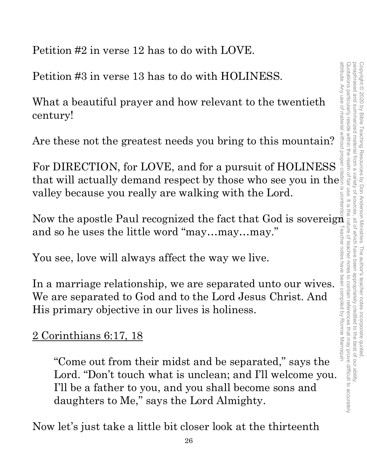Petition #2 in verse 12 has to do with LOVE.

Petition #3 in verse 13 has to do with HOLINESS.

What a beautiful prayer and how relevant to the twentieth century!

Are these not the greatest needs you bring to this mountain?

For DIRECTION, for LOVE, and for a pursuit of HOLINESS that will actually demand respect by those who see you in the valley because you really are walking with the Lord.

Now the apostle Paul recognized the fact that God is sovereign and so he uses the little word "may…may…may."

You see, love will always affect the way we live.

In a marriage relationship, we are separated unto our wives. We are separated to God and to the Lord Jesus Christ. And His primary objective in our lives is holiness.

### 2 Corinthians 6:17, 18

"Come out from their midst and be separated," says the Lord. "Don't touch what is unclean; and I'll welcome you. I'll be a father to you, and you shall become sons and daughters to Me," says the Lord Almighty.

Now let's just take a little bit closer look at the thirteenth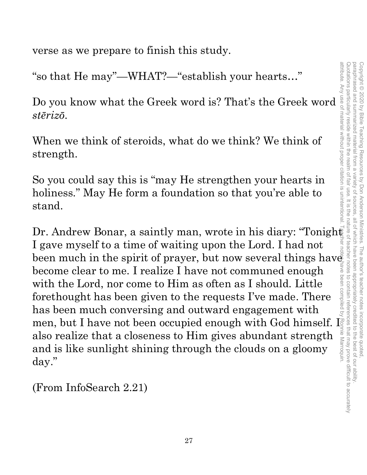verse as we prepare to finish this study.

"so that He may"—WHAT?—"establish your hearts…"

Do you know what the Greek word is? That's the Greek word *stērizō*.

When we think of steroids, what do we think? We think of strength.

So you could say this is "may He strengthen your hearts in holiness." May He form a foundation so that you're able to stand.

Dr. Andrew Bonar, a saintly man, wrote in his diary: "Tonight I gave myself to a time of waiting upon the Lord. I had not been much in the spirit of prayer, but now several things have become clear to me. I realize I have not communed enough with the Lord, nor come to Him as often as I should. Little forethought has been given to the requests I've made. There has been much conversing and outward engagement with men, but I have not been occupied enough with God himself. I also realize that a closeness to Him gives abundant strength and is like sunlight shining through the clouds on a gloomy day."

(From InfoSearch 2.21)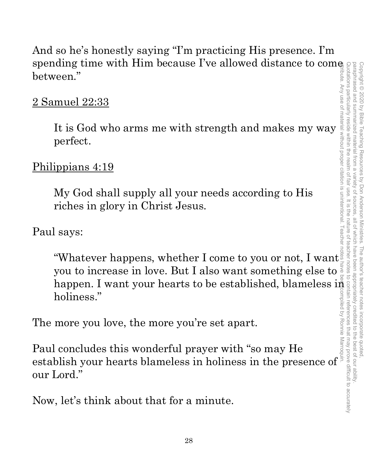And so he's honestly saying "I'm practicing His presence. I'm spending time with Him because I've allowed distance to come between."

### <u>2 Samuel 22:33</u>

It is God who arms me with strength and makes my way perfect.

## Philippians 4:19

My God shall supply all your needs according to His riches in glory in Christ Jesus.

Paul says:

"Whatever happens, whether I come to you or not, I want you to increase in love. But I also want something else to holiness."

The more you love, the more you're set apart.

happen. I want your hearts to be established, blameless in<br>holiness."<br>
more you love, the more you're set apart.<br>
l concludes this wonderful prayer with "so may He<br>blish your hearts blameless in holiness in the presence o Paul concludes this wonderful prayer with "so may He Frame with the more you love, the more you're set apart.<br>
The more you love, the more you're set apart.<br>
Paul concludes this wonderful prayer with "so may He<br>
establish your hearts blameless in holiness in the presence of our Lord."

Now, let's think about that for a minute.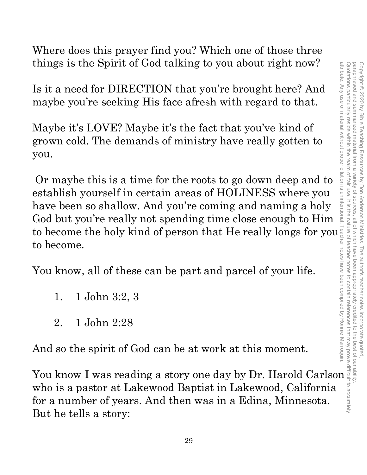Where does this prayer find you? Which one of those three things is the Spirit of God talking to you about right now?

Is it a need for DIRECTION that you're brought here? And maybe you're seeking His face afresh with regard to that.

Maybe it's LOVE? Maybe it's the fact that you've kind of grown cold. The demands of ministry have really gotten to you.

Or maybe this is a time for the roots to go down deep and to establish yourself in certain areas of HOLINESS where you have been so shallow. And you're coming and naming a holy God but you're really not spending time close enough to Him things is the Spirit of God talking to you about right now?<br>
Is it a need for DIRECTION that you're brought here? And<br>
maybe vou're seeking His face afresh with regard to that.<br>
Maybe it's LOVE? Maybe it's the fact that y to become. things is the Spirit of God talking to you about right now?<br>
Is it a need for DIRECTION that you're brought here? And<br>
maybe you're seeking His face afresh with regard to that.<br>
Maybe it's LOVE? Maybe it's the fact that yo

You know, all of these can be part and parcel of your life.

- 1. 1 John 3:2, 3
- 2. 1 John 2:28

And so the spirit of God can be at work at this moment.

who is a pastor at Lakewood Baptist in Lakewood, California for a number of years. And then was in a Edina, Minnesota. But he tells a story: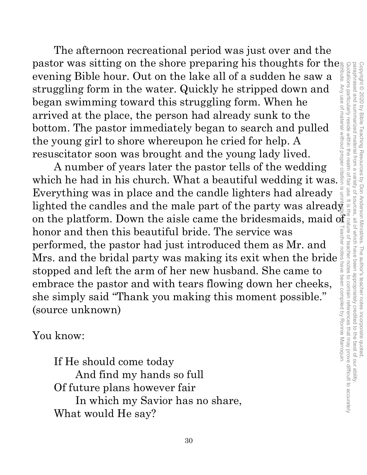The afternoon recreational period was just over and the pastor was sitting on the shore preparing his thoughts for the evening Bible hour. Out on the lake all of a sudden he saw a struggling form in the water. Quickly he stripped down and began swimming toward this struggling form. When he arrived at the place, the person had already sunk to the bottom. The pastor immediately began to search and pulled the young girl to shore whereupon he cried for help. A resuscitator soon was brought and the young lady lived.

A number of years later the pastor tells of the wedding which he had in his church. What a beautiful wedding it was. Everything was in place and the candle lighters had already lighted the candles and the male part of the party was already on the platform. Down the aisle came the bridesmaids, maid of honor and then this beautiful bride. The service was performed, the pastor had just introduced them as Mr. and Mrs. and the bridal party was making its exit when the bride stopped and left the arm of her new husband. She came to embrace the pastor and with tears flowing down her cheeks, she simply said "Thank you making this moment possible." (source unknown)

You know:

If He should come today And find my hands so full Of future plans however fair In which my Savior has no share, What would He say?

paraphrased and summarized material from a variety of sources, all of which have been appropriately credited to the best of our ability attribute. Any use of material without proper citation is unintentional. Teacher notes have been compiled by Ronnie Marroquin.Quotations particularly reside within the realm of fair use. It is the nature of teacher notes to contain references that may prove difficult to accurately paraphrased and summarized material from a variety of sources, all of which have been appropriately credited to the best of our ability. Copyright © 2020 by Bible Teaching Resources by Don Anderson Ministries. The author's teacher notes incorporate quoted Copyright © 2020 by Bible Teaching Resources by Don Anderson Ministries. The author's teacher notes incorporate quoted,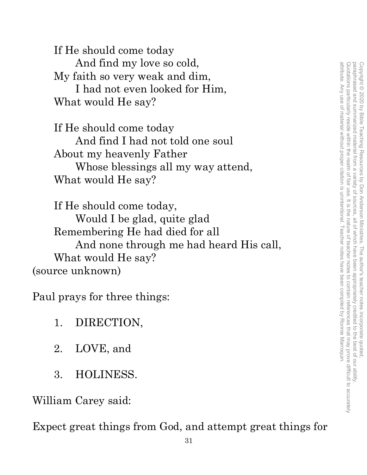If He should come today And find my love so cold, My faith so very weak and dim, I had not even looked for Him, What would He say?

If He should come today And find I had not told one soul About my heavenly Father Whose blessings all my way attend, What would He say?

If He should come today, Would I be glad, quite glad Remembering He had died for all And none through me had heard His call, What would He say? (source unknown)

Paul prays for three things:

- 1. DIRECTION,
- 2. LOVE, and
- 3. HOLINESS.

William Carey said:

Expect great things from God, and attempt great things for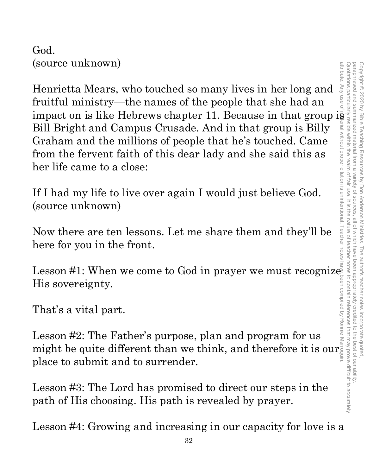God. (source unknown)

Henrietta Mears, who touched so many lives in her long and fruitful ministry—the names of the people that she had an impact on is like Hebrews chapter 11. Because in that group is Bill Bright and Campus Crusade. And in that group is Billy Graham and the millions of people that he's touched. Came from the fervent faith of this dear lady and she said this as her life came to a close:

If I had my life to live over again I would just believe God. (source unknown)

Now there are ten lessons. Let me share them and they'll be here for you in the front.

Lesson #1: When we come to God in prayer we must recognize His sovereignty.

That's a vital part.

Lesson #2: The Father's purpose, plan and program for us might be quite different than we think, and therefore it is our place to submit and to surrender.

Lesson #3: The Lord has promised to direct our steps in the path of His choosing. His path is revealed by prayer.

Lesson #4: Growing and increasing in our capacity for love is a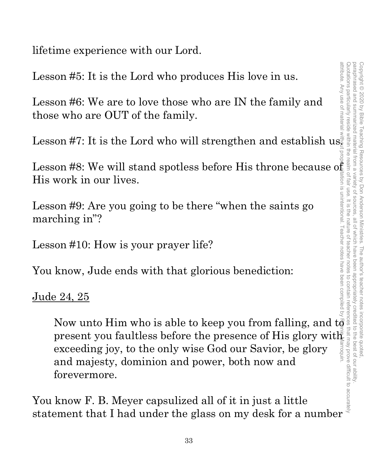lifetime experience with our Lord.

Lesson #5: It is the Lord who produces His love in us.

Lesson #6: We are to love those who are IN the family and those who are OUT of the family.

Lesson #7: It is the Lord who will strengthen and establish us.

Lesson #8: We will stand spotless before His throne because of His work in our lives.

Lesson #9: Are you going to be there "when the saints go marching in"?

Lesson #10: How is your prayer life?

You know, Jude ends with that glorious benediction:

#### <u>Jude 24, 25</u>

Now the B. D. Movement and provided all of it in just a little<br>
Now F. B. Movement and provides before His throne because of<br>
work in our lives.<br>
Now his your grayer life?<br>
Son #10: How is your prayer life?<br>
<br>
son #10: Ho present you faultless before the presence of His glory with exceeding joy, to the only wise God our Savior, be glory and majesty, dominion and power, both now and forevermore. attribute. Any use of material without proper citation is unintentional. Teacher notes have been compiled by Ronnie Marroquin.

You know F. B. Meyer capsulized all of it in just a little statement that I had under the glass on my desk for a number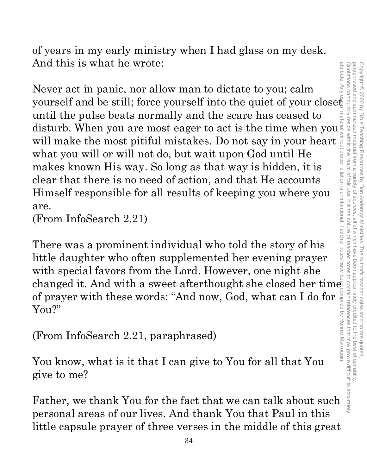paraphrased and summarized material from a attribute. Any attribute. Any use of material without proper citation is unintentional. Teacher notes have been compiled by Ronnie Marroquin.Quotations particularly reside within the realm of fair use. It is the nature of teacher notes to contain references that may prove difficult to accurately paraphrased and summarized material from a variety of sources, all of which have been appropriately credited to the best of our ability. Copyright<sup>©</sup> Copyright © 2020 by Bible Teaching Resources by Don Anderson Ministries. The author's teacher notes incorporate quoted, 2020 by Bible Teaching Resources by Don Anderson Ministries. The author's teacher notes incorporate quoted variety of sources all of which have been appropriately credited to contain references that may prove difficult to accurate to the best of our ability

of years in my early ministry when I had glass on my desk. And this is what he wrote:

Never act in panic, nor allow man to dictate to you; calm And this is what he wrote:<br>
Never act in panic, nor allow man to dictate to you; calm<br>
yourself and be still; force yourself into the quiet of your close<br>
until the pulse beats normally and the scare has ceased to<br>
distur until the pulse beats normally and the scare has ceased to disturb. When you are most eager to act is the time when you will make the most pitiful mistakes. Do not say in your heart what you will or will not do, but wait upon God until He makes known His way. So long as that way is hidden, it is clear that there is no need of action, and that He accounts Himself responsible for all results of keeping you where you are.

(From InfoSearch 2.21)

There was a prominent individual who told the story of his little daughter who often supplemented her evening prayer with special favors from the Lord. However, one night she changed it. And with a sweet afterthought she closed her times of prayer with these words: "And now, God, what can I do for You?"

(From InfoSearch 2.21, paraphrased)

You know, what is it that I can give to You for all that You give to me?

Father, we thank You for the fact that we can talk about such personal areas of our lives. And thank You that Paul in this little capsule prayer of three verses in the middle of this great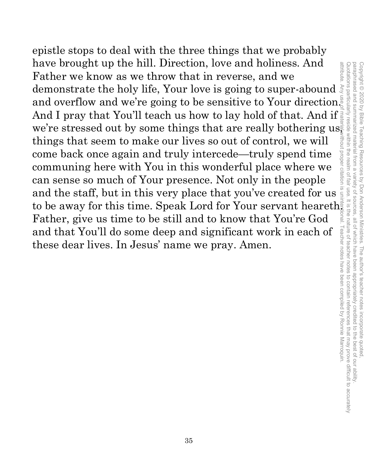epistle stops to deal with the three things that we probably have brought up the hill. Direction, love and holiness. And Father we know as we throw that in reverse, and we demonstrate the holy life, Your love is going to super-abound and overflow and we're going to be sensitive to Your direction. And I pray that You'll teach us how to lay hold of that. And if we're stressed out by some things that are really bothering  $\text{us}_{\frac{1}{2}}$ things that seem to make our lives so out of control, we will come back once again and truly intercede—truly spend time communing here with You in this wonderful place where we can sense so much of Your presence. Not only in the people and the staff, but in this very place that you've created for us to be away for this time. Speak Lord for Your servant heareth. Father, give us time to be still and to know that You're God and that You'll do some deep and significant work in each of these dear lives. In Jesus' name we pray. Amen. attribute. Any use of material without proper citation is unintentional. Teacher notes have been compiled by Ronnie Marroquin.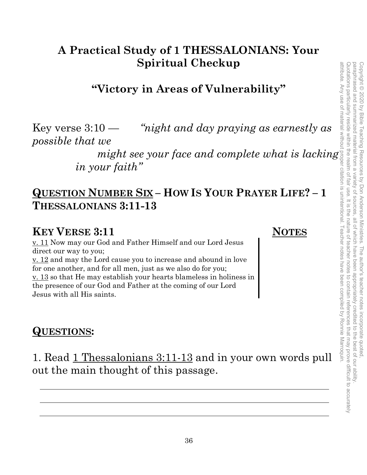# **A Practical Study of 1 THESSALONIANS: Your Spiritual Checkup**

## **"Victory in Areas of Vulnerability"**

Key verse  $3:10$  — *"night and day praying as earnestly as possible that we* 

> *might see your face and complete what is lacking in your faith"*

### **QUESTION NUMBER SIX – HOW IS YOUR PRAYER LIFE? – 1 THESSALONIANS 3:11-13**

#### **KEY VERSE 3:11 NOTES**

v. 11 Now may our God and Father Himself and our Lord Jesus direct our way to you; v. 12 and may the Lord cause you to increase and abound in love for one another, and for all men, just as we also do for you; v. 13 so that He may establish your hearts blameless in holiness in the presence of our God and Father at the coming of our Lord Jesus with all His saints.

#### **QUESTIONS:**

1. Read 1 Thessalonians 3:11-13 and in your own words pull out the main thought of this passage.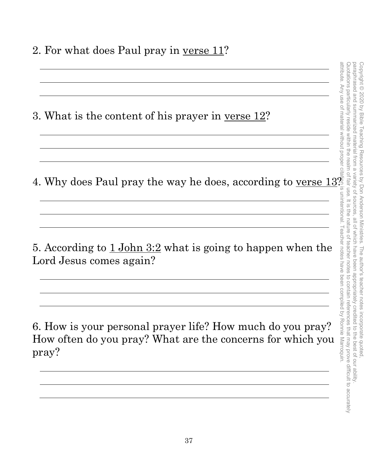2. For what does Paul pray in <u>verse 11</u>?

3. What is the content of his prayer in <u>verse 12</u>?

4. Why does Paul pray the way he does, according to <u>verse 13</u>?

5. According to 1 John 3:2 what is going to happen when the Lord Jesus comes again?

6. How is your personal prayer life? How much do you pray? How often do you pray? What are the concerns for which you pray?

<u> 1989 - Johann Barn, mars ann an t-Amhain ann an t-Amhain an t-Amhain an t-Amhain an t-Amhain an t-Amhain an t-</u>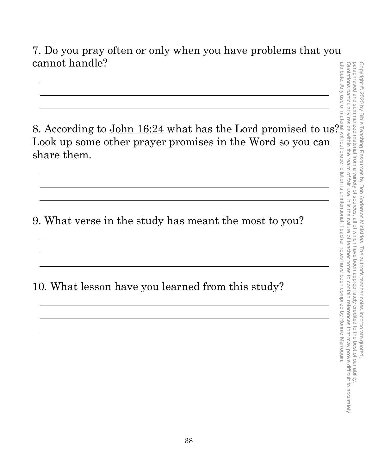7. Do you pray often or only when you have problems that you cannot handle?

8. According to John 16:24 what has the Lord promised to us? Look up some other prayer promises in the Word so you can share them.

9. What verse in the study has meant the most to you?

10. What lesson have you learned from this study?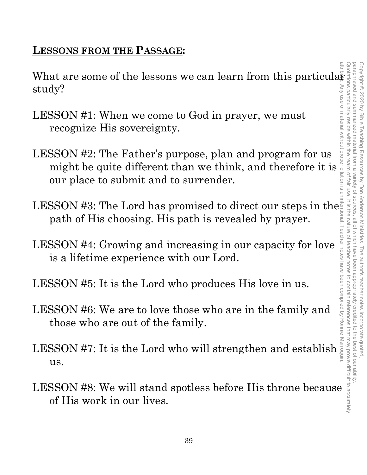## **LESSONS FROM THE PASSAGE:**

study?

- LESSON #1: When we come to God in prayer, we must recognize His sovereignty.
- What are some of the lessons we can learn from this particular<br>study?<br>LESSON #1: When we come to God in prayer, we must<br>recognize His sovereignty.<br>LESSON #2: The Father's purpose, plan and program for us<br>might be quite di LESSON #2: The Father's purpose, plan and program for us  $\frac{1}{2}$ <br>SSON #1: When we come to God in prayer, we must<br>recognize His sovereignty.<br>SSON #2: The Father's purpose, plan and program for us<br>might be quite different than we think, and therefore it is our place to submit and to surrender.
- LESSON #3: The Lord has promised to direct our steps in the path of His choosing. His path is revealed by prayer. LESSON #3: The Lord has promised to direct our steps in the<br>
path of His choosing. His path is revealed by prayer.<br>
LESSON #4: Growing and increasing in our capacity for love<br>
is a lifetime experience with our Lord.<br>
LESS
- LESSON #4: Growing and increasing in our capacity for love is a lifetime experience with our Lord. LESSON #4: Growing and increasing in our capacity for love is a lifetime experience with our Lord.<br>
LESSON #5: It is the Lord who produces His love in us.<br>
LESSON #6: We are to love those who are in the family and those w
- LESSON #5: It is the Lord who produces His love in us.
- LESSON #6: We are to love those who are in the family and those who are out of the family.
- us.
- of His work in our lives.